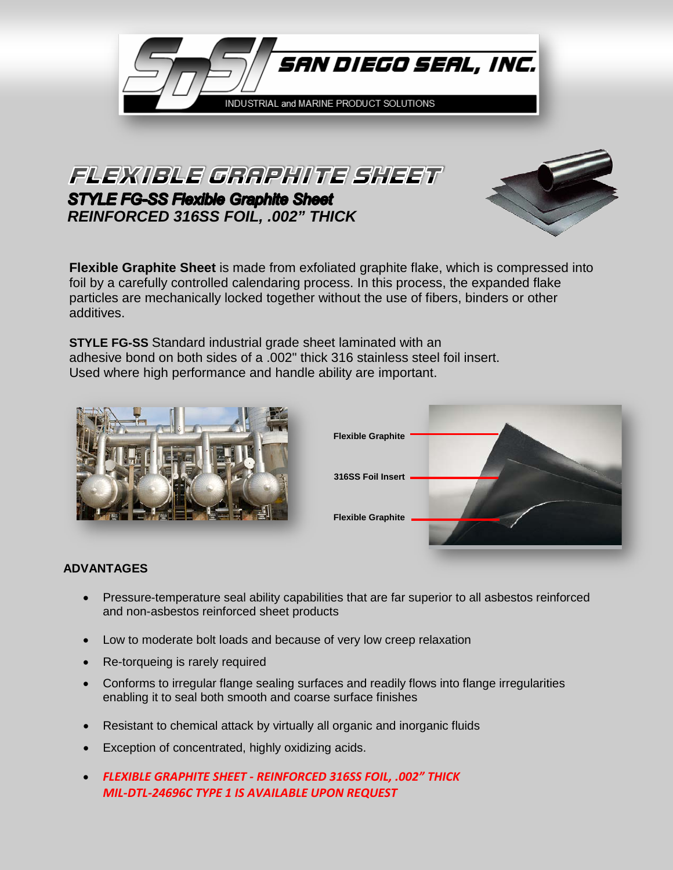

FLEXIBLE GRAPHITE SHEET **STYLE FG-SS Flexible Graphite Sheet** *REINFORCED 316SS FOIL, .002" THICK*



**Flexible Graphite Sheet** is made from exfoliated graphite flake, which is compressed into foil by a carefully controlled calendaring process. In this process, the expanded flake particles are mechanically locked together without the use of fibers, binders or other additives.

**STYLE FG-SS** Standard industrial grade sheet laminated with an adhesive bond on both sides of a .002" thick 316 stainless steel foil insert. Used where high performance and handle ability are important.





## **ADVANTAGES**

- Pressure-temperature seal ability capabilities that are far superior to all asbestos reinforced and non-asbestos reinforced sheet products
- Low to moderate bolt loads and because of very low creep relaxation
- Re-torqueing is rarely required
- Conforms to irregular flange sealing surfaces and readily flows into flange irregularities enabling it to seal both smooth and coarse surface finishes
- Resistant to chemical attack by virtually all organic and inorganic fluids
- Exception of concentrated, highly oxidizing acids.
- *FLEXIBLE GRAPHITE SHEET - REINFORCED 316SS FOIL, .002" THICK MIL-DTL-24696C TYPE 1 IS AVAILABLE UPON REQUEST*